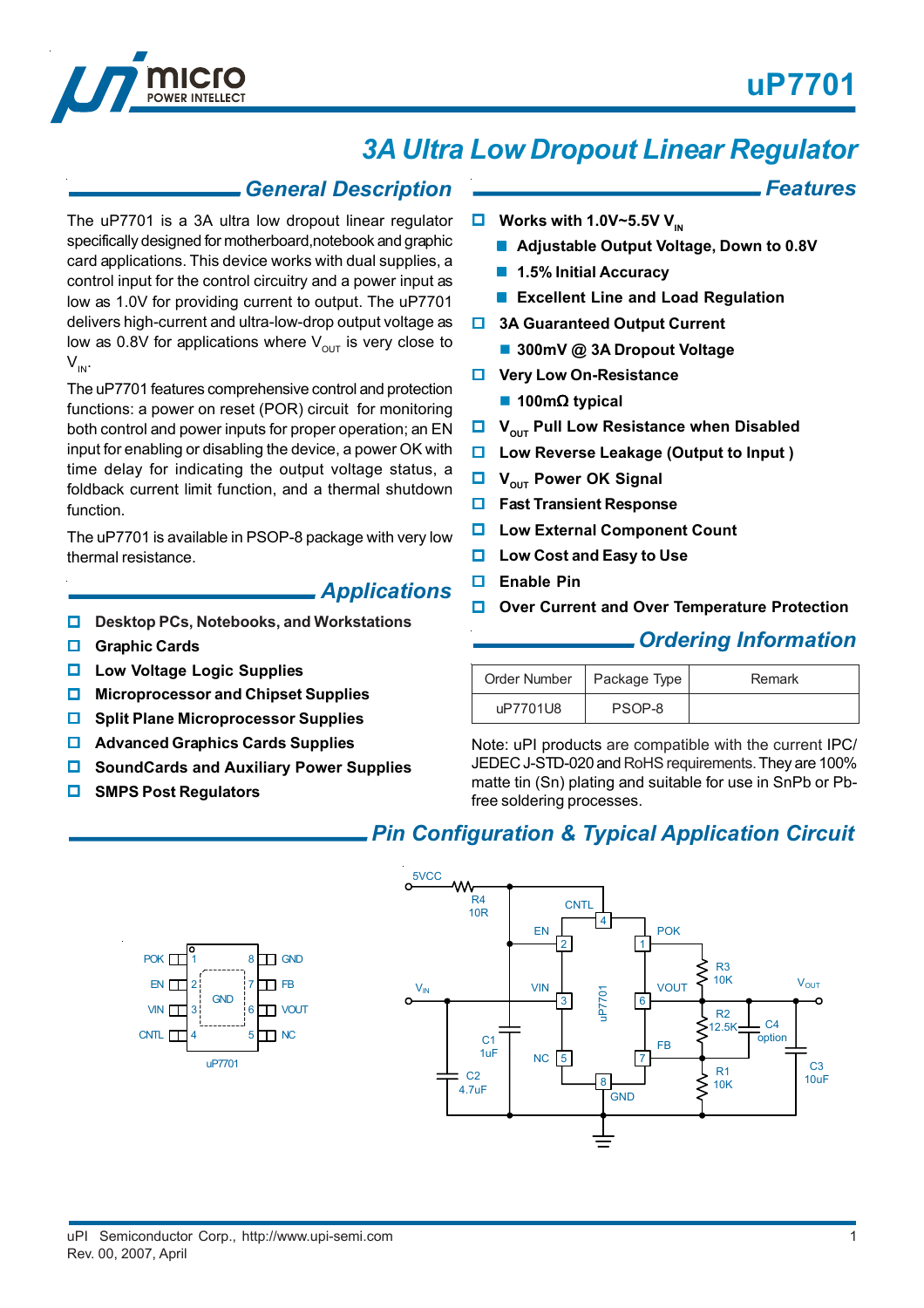*Features*



# *3A Ultra Low Dropout Linear Regulator*

## *General Description*

The uP7701 is a 3A ultra low dropout linear regulator specifically designed for motherboard,notebook and graphic card applications. This device works with dual supplies, a control input for the control circuitry and a power input as low as 1.0V for providing current to output. The uP7701 delivers high-current and ultra-low-drop output voltage as low as 0.8V for applications where  $V_{\text{out}}$  is very close to  $V_{IN}$ .

The uP7701 features comprehensive control and protection functions: a power on reset (POR) circuit for monitoring both control and power inputs for proper operation; an EN input for enabling or disabling the device, a power OK with time delay for indicating the output voltage status, a foldback current limit function, and a thermal shutdown function.

The uP7701 is available in PSOP-8 package with very low thermal resistance.

## *Applications*

- **Desktop PCs, Notebooks, and Workstations**
- **Graphic Cards**
- **Low Voltage Logic Supplies**
- **Microprocessor and Chipset Supplies**
- **Split Plane Microprocessor Supplies**
- **Advanced Graphics Cards Supplies**
- **SoundCards and Auxiliary Power Supplies**
- **SMPS Post Regulators**

EN<sub>T</sub> VIN<sub>T</sub> CNTL

#### $\Box$  Works with 1.0V~5.5V V<sub>IN</sub>

- **Adjustable Output Voltage, Down to 0.8V**
- **1.5% Initial Accuracy**
- **Excellent Line and Load Regulation**
- $\Box$  **3A Guaranteed Output Current** 
	- **300mV @ 3A Dropout Voltage**
- $\Box$  Very Low On-Resistance
	- **100m**Ω **typical**
- **U** V<sub>OUT</sub> Pull Low Resistance when Disabled
- **Low Reverse Leakage (Output to Input )**
- **U** V<sub>OUT</sub> Power OK Signal
- **Fast Transient Response**
- **Low External Component Count**
- **Low Cost and Easy to Use**
- **Enable Pin**
- **Over Current and Over Temperature Protection**

## *Ordering Information*

| Order Number   Package Type ' |        | Remark |
|-------------------------------|--------|--------|
| uP7701U8                      | PSOP-8 |        |

Note: uPI products are compatible with the current IPC/ JEDEC J-STD-020 and RoHS requirements. They are 100% matte tin (Sn) plating and suitable for use in SnPb or Pbfree soldering processes.

## *Pin Configuration & Typical Application Circuit*



POK  $\prod_{1}^{8}$  8 T GND

1 2 3

GND

4 5

uP770<sup>-</sup>

**D**FB VOUT

 $\Box$  NC

ᆩ

6 7 8

Rev. 00, 2007, April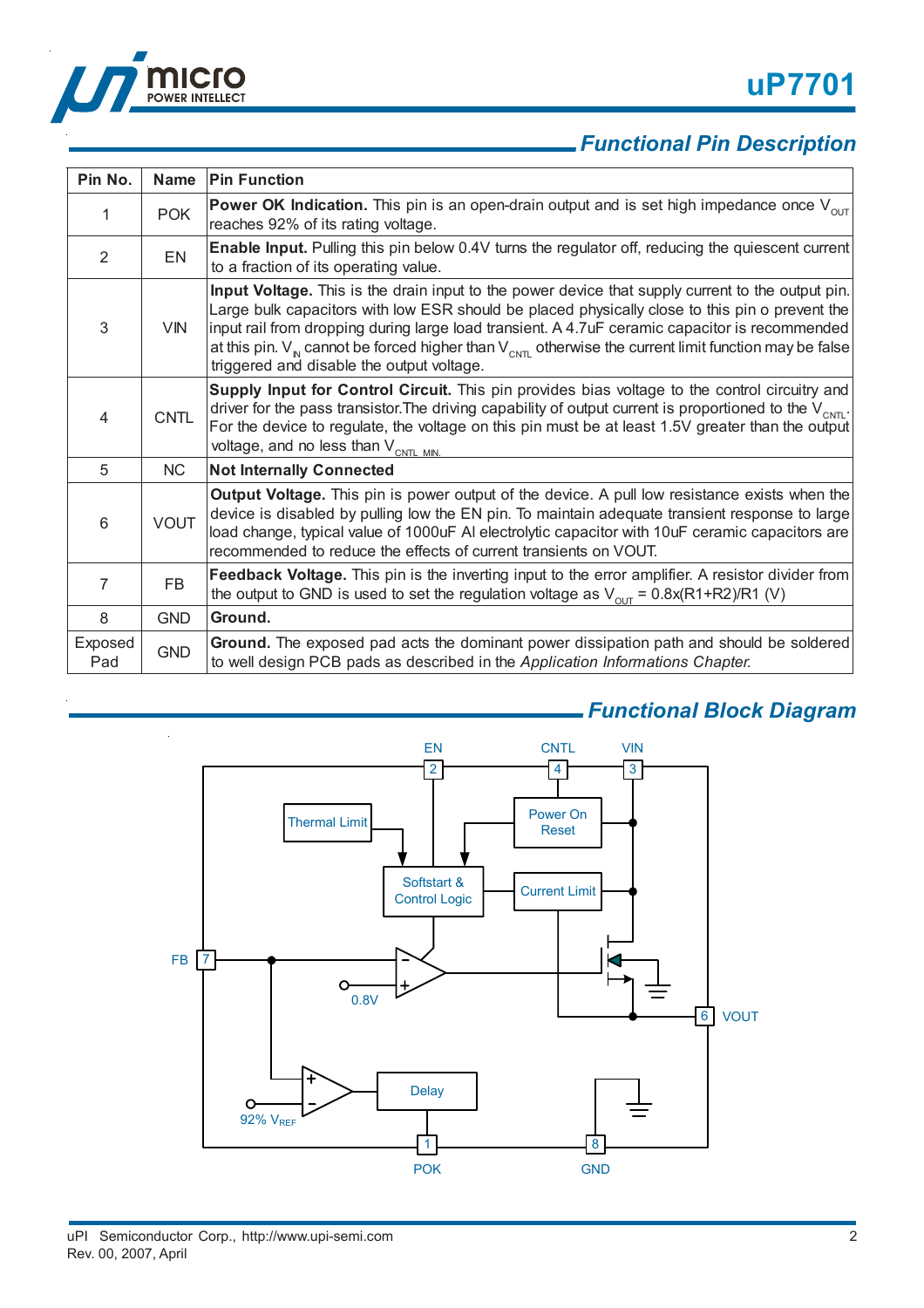



## *Functional Pin Description*

| Pin No.        | Name        | <b>Pin Function</b>                                                                                                                                                                                                                                                                                                                                                                                                                                               |
|----------------|-------------|-------------------------------------------------------------------------------------------------------------------------------------------------------------------------------------------------------------------------------------------------------------------------------------------------------------------------------------------------------------------------------------------------------------------------------------------------------------------|
| 1              | <b>POK</b>  | <b>Power OK Indication.</b> This pin is an open-drain output and is set high impedance once $V_{\text{out}}$<br>reaches 92% of its rating voltage.                                                                                                                                                                                                                                                                                                                |
| 2              | <b>EN</b>   | <b>Enable Input.</b> Pulling this pin below 0.4V turns the regulator off, reducing the quiescent current<br>to a fraction of its operating value.                                                                                                                                                                                                                                                                                                                 |
| 3              | <b>VIN</b>  | Input Voltage. This is the drain input to the power device that supply current to the output pin.<br>Large bulk capacitors with low ESR should be placed physically close to this pin o prevent the<br>input rail from dropping during large load transient. A 4.7uF ceramic capacitor is recommended<br>at this pin. $V_{N}$ cannot be forced higher than $V_{N}$ otherwise the current limit function may be false<br>triggered and disable the output voltage. |
| 4              | <b>CNTL</b> | Supply Input for Control Circuit. This pin provides bias voltage to the control circuitry and<br>driver for the pass transistor. The driving capability of output current is proportioned to the $V_{\text{CNTL}}$ .<br>For the device to regulate, the voltage on this pin must be at least 1.5V greater than the output<br>voltage, and no less than $V_{CNTL MIN}$                                                                                             |
| 5              | <b>NC</b>   | <b>Not Internally Connected</b>                                                                                                                                                                                                                                                                                                                                                                                                                                   |
| 6              | <b>VOUT</b> | <b>Output Voltage.</b> This pin is power output of the device. A pull low resistance exists when the<br>device is disabled by pulling low the EN pin. To maintain adequate transient response to large<br>load change, typical value of 1000uF AI electrolytic capacitor with 10uF ceramic capacitors are<br>recommended to reduce the effects of current transients on VOUT.                                                                                     |
| $\overline{7}$ | FB          | Feedback Voltage. This pin is the inverting input to the error amplifier. A resistor divider from<br>the output to GND is used to set the regulation voltage as $V_{\text{out}} = 0.8x(R1+R2)/R1$ (V)                                                                                                                                                                                                                                                             |
| 8              | <b>GND</b>  | Ground.                                                                                                                                                                                                                                                                                                                                                                                                                                                           |
| Exposed<br>Pad | <b>GND</b>  | Ground. The exposed pad acts the dominant power dissipation path and should be soldered<br>to well design PCB pads as described in the Application Informations Chapter.                                                                                                                                                                                                                                                                                          |



# *Functional Block Diagram*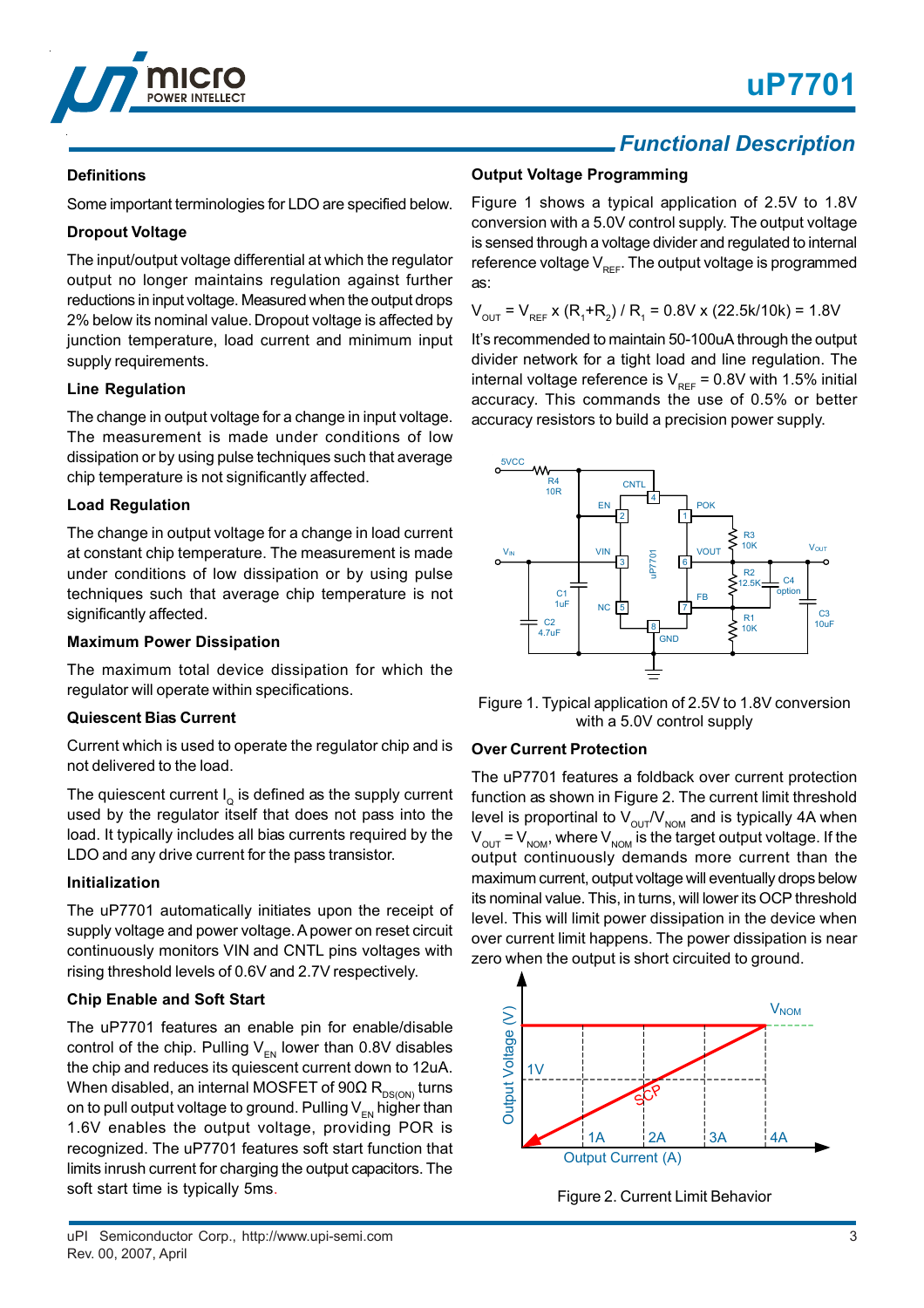



#### **Definitions**

Some important terminologies for LDO are specified below.

#### **Dropout Voltage**

The input/output voltage differential at which the regulator output no longer maintains regulation against further reductions in input voltage. Measured when the output drops 2% below its nominal value. Dropout voltage is affected by junction temperature, load current and minimum input supply requirements.

#### **Line Regulation**

The change in output voltage for a change in input voltage. The measurement is made under conditions of low dissipation or by using pulse techniques such that average chip temperature is not significantly affected.

#### **Load Regulation**

The change in output voltage for a change in load current at constant chip temperature. The measurement is made under conditions of low dissipation or by using pulse techniques such that average chip temperature is not significantly affected.

#### **Maximum Power Dissipation**

The maximum total device dissipation for which the regulator will operate within specifications.

#### **Quiescent Bias Current**

Current which is used to operate the regulator chip and is not delivered to the load.

The quiescent current  $I_0$  is defined as the supply current used by the regulator itself that does not pass into the load. It typically includes all bias currents required by the LDO and any drive current for the pass transistor.

#### **Initialization**

The uP7701 automatically initiates upon the receipt of supply voltage and power voltage. A power on reset circuit continuously monitors VIN and CNTL pins voltages with rising threshold levels of 0.6V and 2.7V respectively.

#### **Chip Enable and Soft Start**

The uP7701 features an enable pin for enable/disable control of the chip. Pulling  $V_{FN}$  lower than 0.8V disables the chip and reduces its quiescent current down to 12uA. When disabled, an internal MOSFET of 90 $\Omega$  R<sub>DS(ON)</sub> turns on to pull output voltage to ground. Pulling  $V_{FN}$  higher than 1.6V enables the output voltage, providing POR is recognized. The uP7701 features soft start function that limits inrush current for charging the output capacitors. The soft start time is typically 5ms.

## *Functional Description*

#### **Output Voltage Programming**

Figure 1 shows a typical application of 2.5V to 1.8V conversion with a 5.0V control supply. The output voltage is sensed through a voltage divider and regulated to internal reference voltage  $V_{\text{per}}$ . The output voltage is programmed as:

 $V_{\text{OUT}}$  =  $V_{\text{REF}}$  x (R<sub>1</sub>+R<sub>2</sub>) / R<sub>1</sub> = 0.8V x (22.5k/10k) = 1.8V

It's recommended to maintain 50-100uA through the output divider network for a tight load and line regulation. The internal voltage reference is  $V_{REF} = 0.8V$  with 1.5% initial accuracy. This commands the use of 0.5% or better accuracy resistors to build a precision power supply.



Figure 1. Typical application of 2.5V to 1.8V conversion with a 5.0V control supply

#### **Over Current Protection**

The uP7701 features a foldback over current protection function as shown in Figure 2. The current limit threshold level is proportinal to  $V_{\text{out}}/V_{\text{nom}}$  and is typically 4A when  $V_{\text{OUT}} = V_{\text{NOM}}$ , where  $V_{\text{NOM}}$  is the target output voltage. If the output continuously demands more current than the maximum current, output voltage will eventually drops below its nominal value. This, in turns, will lower its OCP threshold level. This will limit power dissipation in the device when over current limit happens. The power dissipation is near zero when the output is short circuited to ground.



Figure 2. Current Limit Behavior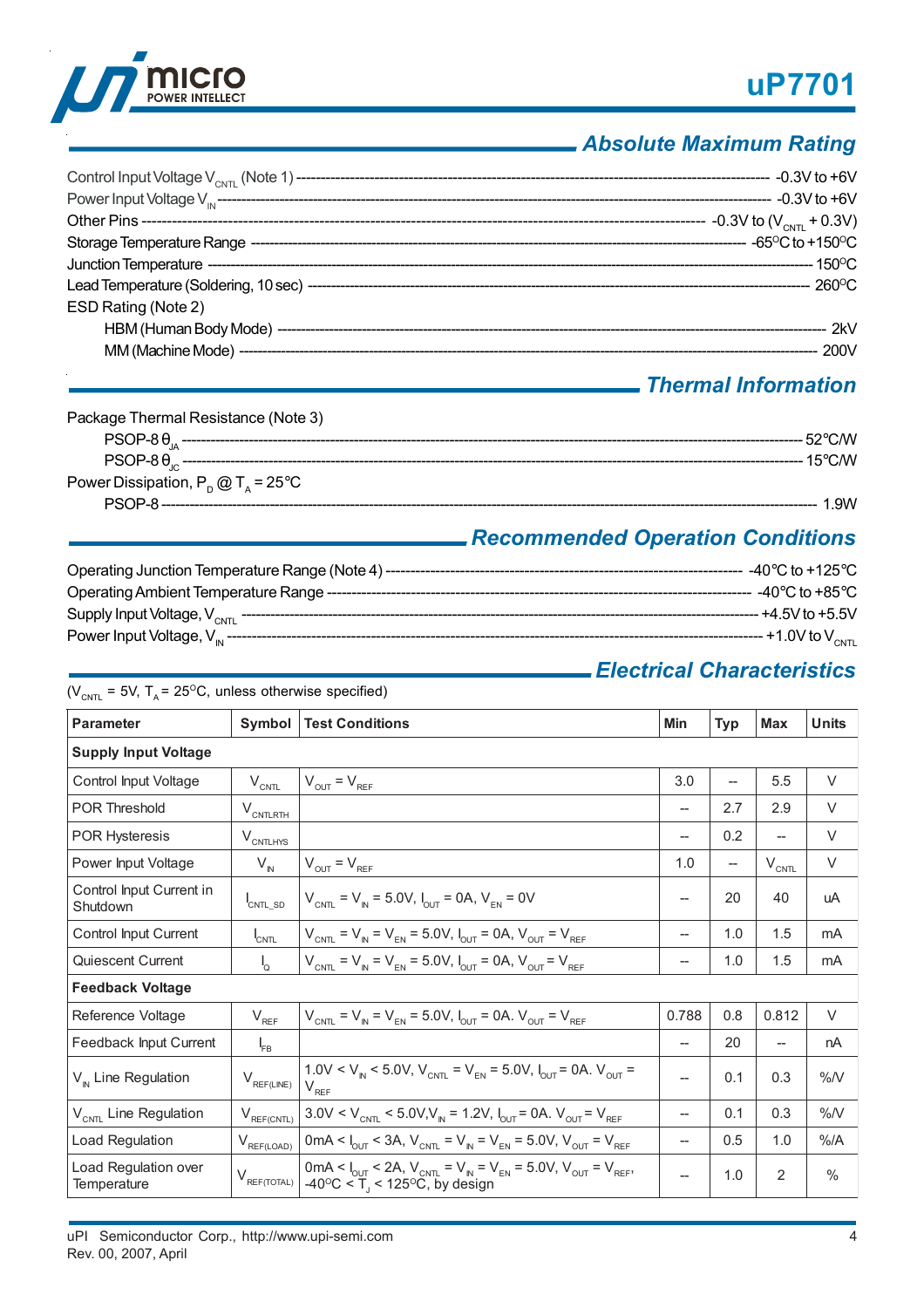



## *Absolute Maximum Rating*

| ESD Rating (Note 2) |  |
|---------------------|--|
|                     |  |
|                     |  |
|                     |  |

## *Thermal Information*

| Package Thermal Resistance (Note 3)         |          |
|---------------------------------------------|----------|
|                                             | .52°C.⁄W |
|                                             | 15°C. M  |
| Power Dissipation, $P_p @ T_a = 25^\circ C$ |          |
|                                             | .9W      |

## *Recommended Operation Conditions*

| Operating Junction Temperature Range (Note 4) ---- | -40 $^{\circ}$ C to +125 $^{\circ}$ C |
|----------------------------------------------------|---------------------------------------|
| Operating Ambient Temperature Range -------        | - -40°C to +85°C.                     |
| Supply Input Voltage, $V_{CNT}$                    | -- +4.5V to +5.5V                     |
| Power Input Voltage, $V_{in}$ ----                 | --- +1.0V to V <sub>смтг</sub>        |

## *Electrical Characteristics*

 $(V_{CNTL} = 5V, T_A = 25^{\circ}C,$  unless otherwise specified)

| <b>Parameter</b>                     | Symbol                      | <b>Test Conditions</b>                                                                                                                                                                                | <b>Min</b>               | <b>Typ</b>        | <b>Max</b>               | <b>Units</b>  |  |
|--------------------------------------|-----------------------------|-------------------------------------------------------------------------------------------------------------------------------------------------------------------------------------------------------|--------------------------|-------------------|--------------------------|---------------|--|
| <b>Supply Input Voltage</b>          |                             |                                                                                                                                                                                                       |                          |                   |                          |               |  |
| Control Input Voltage                | $V_{\text{CNTL}}$           | $V_{\text{OUT}} = V_{\text{REF}}$                                                                                                                                                                     | 3.0                      |                   | 5.5                      | V             |  |
| <b>POR Threshold</b>                 | $V_{\text{CNTLRTH}}$        |                                                                                                                                                                                                       | $- -$                    | 2.7               | 2.9                      | $\vee$        |  |
| POR Hysteresis                       | $V_{\text{CNTLHYS}}$        |                                                                                                                                                                                                       | $- -$                    | 0.2               | $\overline{\phantom{0}}$ | $\vee$        |  |
| Power Input Voltage                  | $V_{\text{IN}}$             | $V_{OUT} = V_{REF}$                                                                                                                                                                                   | 1.0                      | $\hspace{0.05cm}$ | $V_{CNTL}$               | V             |  |
| Control Input Current in<br>Shutdown | CNTL_SD                     | $V_{CNTL} = V_{N} = 5.0V, I_{OUT} = 0A, V_{EN} = 0V$                                                                                                                                                  | --                       | 20                | 40                       | uA            |  |
| Control Input Current                | $I_{\text{CNTL}}$           | $V_{CNT} = V_{N} = V_{FN} = 5.0 V, I_{OUT} = 0 A, V_{OUT} = V_{REF}$                                                                                                                                  | $\hspace{0.05cm}$        | 1.0               | 1.5                      | mA            |  |
| Quiescent Current                    | $\mathsf{I}_{\mathsf{Q}}$   | $V_{\text{CNTL}} = V_{\text{IN}} = V_{\text{EN}} = 5.0 V, I_{\text{OUT}} = 0 A, V_{\text{OUT}} = V_{\text{REF}}$                                                                                      | $\overline{\phantom{m}}$ | 1.0               | 1.5                      | mA            |  |
| <b>Feedback Voltage</b>              |                             |                                                                                                                                                                                                       |                          |                   |                          |               |  |
| Reference Voltage                    | $V_{REF}$                   | $V_{CNT} = V_{N} = V_{FN} = 5.0 V, I_{CUT} = 0 A. V_{CUT} = V_{RFF}$                                                                                                                                  | 0.788                    | 0.8               | 0.812                    | V             |  |
| Feedback Input Current               | $I_{FB}$                    |                                                                                                                                                                                                       | --                       | 20                | --                       | nA            |  |
| $V_{N}$ Line Regulation              | $V_{\text{REF(LINE)}}$      | $1.0 \text{V} < V_{\text{N}} < 5.0 \text{V}$ , $V_{\text{CNTL}} = V_{\text{FN}} = 5.0 \text{V}$ , $I_{\text{OUT}} = 0 \text{A}$ . $V_{\text{OUT}} = 1.0 \text{V}$<br>$V_{RF}$                         | $-$                      | 0.1               | 0.3                      | %N            |  |
| V <sub>CNTL</sub> Line Regulation    | $V_{\text{REF(CNTL)}}$      | $3.0 \text{V} < V_{\text{CNT}} < 5.0 \text{V}, V_{\text{N}} = 1.2 \text{V}, I_{\text{OUT}} = 0 \text{A}.$ $V_{\text{OUT}} = V_{\text{RFE}}$                                                           | $\overline{\phantom{m}}$ | 0.1               | 0.3                      | %N            |  |
| Load Regulation                      | $V_{REF(\underline{LOAD})}$ | 0mA < $I_{\text{OUT}}$ < 3A, $V_{\text{CNT}} = V_{\text{N}} = V_{\text{EN}} = 5.0 \text{V}$ , $V_{\text{OUT}} = V_{\text{REF}}$                                                                       | $-\!$                    | 0.5               | 1.0                      | %A            |  |
| Load Regulation over<br>Temperature  | $V_{\text{REF(TOTAL)}}$     | 0mA < $I_{\text{out}}$ < 2A, $V_{\text{CNTL}}$ = $V_{\text{N}}$ = $V_{\text{EN}}$ = 5.0V, $V_{\text{out}}$ = $V_{\text{REF}}$ ,<br>$-40\degree C < \overset{\sim}{T}$ , < 125 $\degree C$ , by design | $\overline{a}$           | 1.0               | $\overline{2}$           | $\frac{0}{0}$ |  |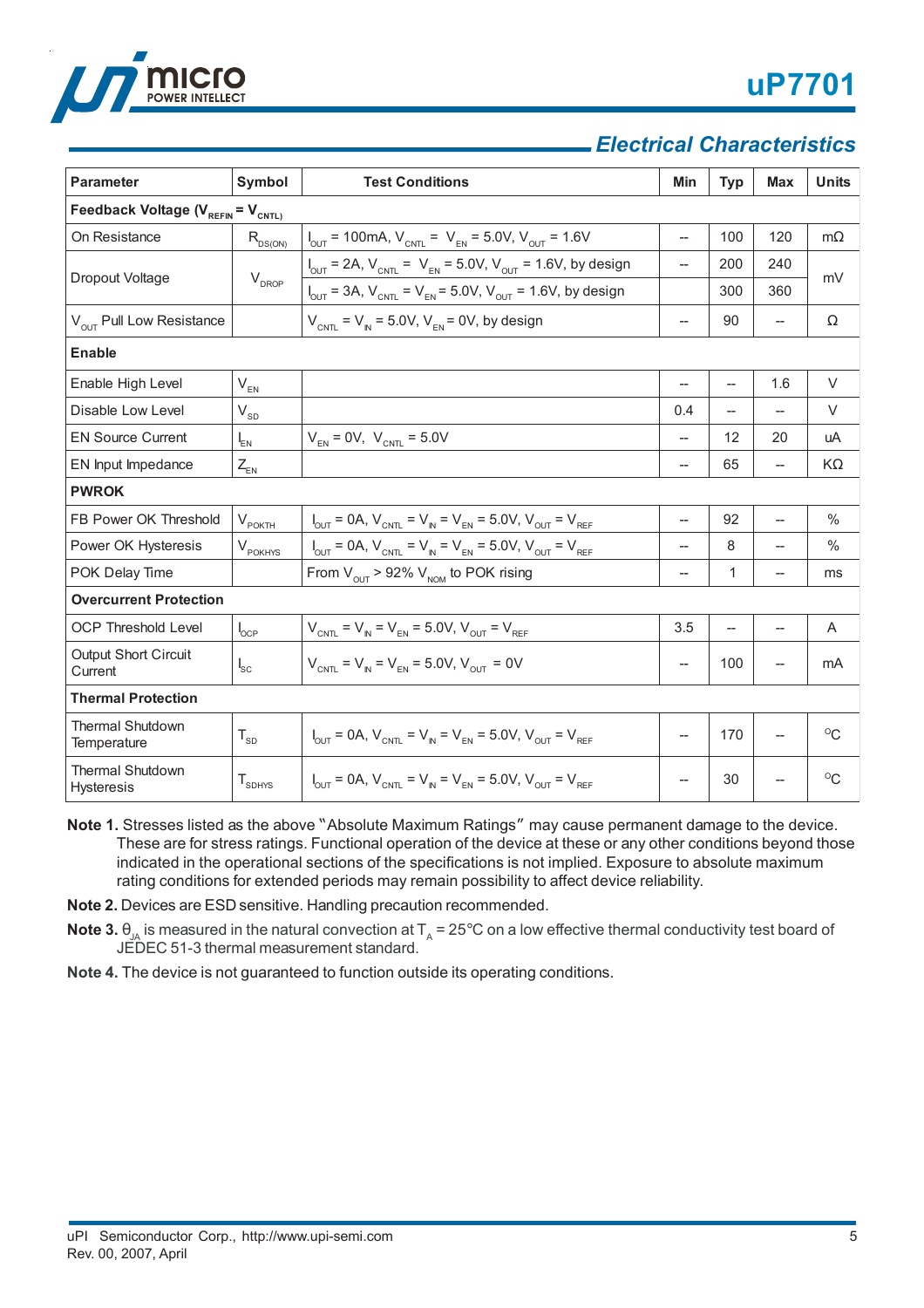

## *Electrical Characteristics*

| <b>Parameter</b>                            | Symbol                                    | <b>Test Conditions</b>                                                                                               | Min                                | <b>Typ</b>               | <b>Max</b>               | <b>Units</b> |  |  |
|---------------------------------------------|-------------------------------------------|----------------------------------------------------------------------------------------------------------------------|------------------------------------|--------------------------|--------------------------|--------------|--|--|
| Feedback Voltage ( $V_{REFIN} = V_{CNTL}$ ) |                                           |                                                                                                                      |                                    |                          |                          |              |  |  |
| On Resistance                               | $R_{DS(ON)}$                              | $I_{\text{OUT}}$ = 100mA, $V_{\text{CNT}}$ = $V_{\text{EN}}$ = 5.0V, $V_{\text{OUT}}$ = 1.6V                         | $\overline{\phantom{m}}$           | 100                      | 120                      | $m\Omega$    |  |  |
| Dropout Voltage                             | $\mathsf{V}_{\mathsf{DROP}}$              | $I_{\text{OUT}}$ = 2A, $V_{\text{CNT}}$ = $V_{\text{EN}}$ = 5.0V, $V_{\text{OUT}}$ = 1.6V, by design                 | --                                 | 200                      | 240                      | mV           |  |  |
|                                             |                                           | $I_{\text{OUT}} = 3A$ , $V_{\text{CNTL}} = V_{\text{EN}} = 5.0V$ , $V_{\text{OUT}} = 1.6V$ , by design               |                                    | 300                      | 360                      |              |  |  |
| V <sub>OUT</sub> Pull Low Resistance        |                                           | $V_{CNTL}$ = $V_{IN}$ = 5.0V, $V_{EN}$ = 0V, by design                                                               | $\hspace{0.05cm} -\hspace{0.05cm}$ | 90                       | $\overline{\phantom{a}}$ | Ω            |  |  |
| <b>Enable</b>                               |                                           |                                                                                                                      |                                    |                          |                          |              |  |  |
| Enable High Level                           | $V_{EN}$                                  |                                                                                                                      | --                                 | $\overline{\phantom{a}}$ | 1.6                      | V            |  |  |
| Disable Low Level                           | $\rm V_{\rm SD}$                          |                                                                                                                      | 0.4                                | $\overline{\phantom{a}}$ | $\overline{\phantom{a}}$ | V            |  |  |
| <b>EN Source Current</b>                    | $I_{EN}$                                  | $V_{EN} = 0V$ , $V_{CNTL} = 5.0V$                                                                                    | $\overline{\phantom{0}}$           | 12                       | 20                       | uA           |  |  |
| EN Input Impedance                          | $Z_{\!\scriptscriptstyle\mathsf{EN}}$     |                                                                                                                      | $\overline{\phantom{0}}$           | 65                       | $\overline{\phantom{0}}$ | $K\Omega$    |  |  |
| <b>PWROK</b>                                |                                           |                                                                                                                      |                                    |                          |                          |              |  |  |
| FB Power OK Threshold                       | $V_{\text{POKTH}}$                        | $I_{\text{OUT}} = 0A$ , $V_{\text{CNT}} = V_{\text{IN}} = V_{\text{EN}} = 5.0V$ , $V_{\text{OUT}} = V_{\text{REF}}$  | $\overline{\phantom{0}}$           | 92                       |                          | $\%$         |  |  |
| Power OK Hysteresis                         | $V_{\rm pOKHYS}$                          | $I_{\text{OUT}} = 0A$ , $V_{\text{CNT}} = V_{\text{IN}} = V_{\text{EN}} = 5.0V$ , $V_{\text{OUT}} = V_{\text{REF}}$  |                                    | 8                        |                          | $\%$         |  |  |
| POK Delay Time                              |                                           | From $V_{\text{out}}$ > 92% $V_{\text{nom}}$ to POK rising                                                           | $\overline{\phantom{0}}$           | 1                        | $\overline{\phantom{0}}$ | ms           |  |  |
| <b>Overcurrent Protection</b>               |                                           |                                                                                                                      |                                    |                          |                          |              |  |  |
| <b>OCP Threshold Level</b>                  | $I_{OCP}$                                 | $V_{CNTL} = V_{IN} = V_{EN} = 5.0 V, V_{OUT} = V_{REF}$                                                              | 3.5                                | $\overline{\phantom{a}}$ | $\overline{\phantom{0}}$ | A            |  |  |
| <b>Output Short Circuit</b><br>Current      | $I_{\rm sc}$                              | $V_{CNTL} = V_{N} = V_{EN} = 5.0 V, V_{OUT} = 0 V$                                                                   | $\overline{\phantom{0}}$           | 100                      |                          | mA           |  |  |
| <b>Thermal Protection</b>                   |                                           |                                                                                                                      |                                    |                          |                          |              |  |  |
| <b>Thermal Shutdown</b><br>Temperature      | $T_{SD}$                                  | $V_{\text{OUT}} = 0A$ , $V_{\text{CNT}} = V_{\text{N}} = V_{\text{FN}} = 5.0V$ , $V_{\text{OUT}} = V_{\text{REF}}$   | $\overline{\phantom{0}}$           | 170                      |                          | $^{\circ}$   |  |  |
| <b>Thermal Shutdown</b><br>Hysteresis       | $\mathsf{T}_{\textsf{\scriptsize SDHYS}}$ | $V_{\text{OUT}} = 0A$ , $V_{\text{CNTL}} = V_{\text{IN}} = V_{\text{EN}} = 5.0V$ , $V_{\text{OUT}} = V_{\text{REF}}$ |                                    | 30                       |                          | $^{\circ}C$  |  |  |

- **Note 1.** Stresses listed as the above "Absolute Maximum Ratings" may cause permanent damage to the device. These are for stress ratings. Functional operation of the device at these or any other conditions beyond those indicated in the operational sections of the specifications is not implied. Exposure to absolute maximum rating conditions for extended periods may remain possibility to affect device reliability.
- **Note 2.** Devices are ESD sensitive. Handling precaution recommended.
- **Note 3.**  $\theta_{\text{IA}}$  is measured in the natural convection at T<sub>A</sub> = 25°C on a low effective thermal conductivity test board of JEDEC 51-3 thermal measurement standard.
- **Note 4.** The device is not guaranteed to function outside its operating conditions.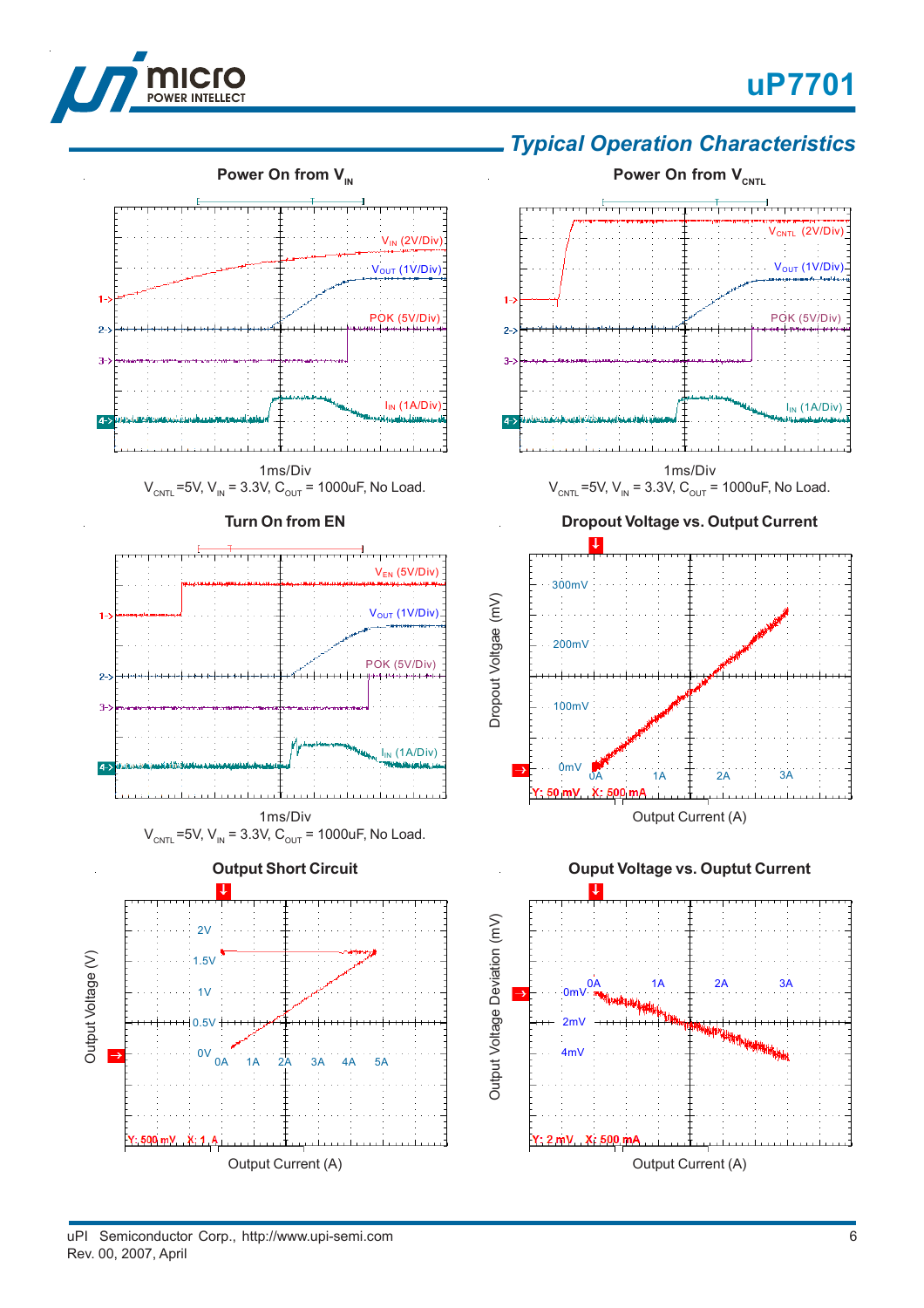

V<sub>CNTL</sub> (2V/Div

V<sub>OUT</sub> (1V/Div)

POK (5V/Div)

 $I_{IN}$  (1A/Div)



## **Power On from V<sub>CNTL</sub> Power On from V<sub>IN</sub>** V<sub>IN</sub> (2V/Div) V<sub>OUT</sub> (1V/Div)  $\mathbf{1}$  $1 - 2$ POK (5V/Div)  $2 - 2$  $2 3 \overline{3}$  $I_{IN}$  (1A/Div)  $4 4-$ 1ms/Div  $V_{\text{CNTL}}$  =5V,  $V_{\text{IN}}$  = 3.3V,  $C_{\text{OUT}}$  = 1000uF, No Load.  $V_{CNTL}$  =5V,  $V_{IN}$  = 3.3V,  $C_{OUT}$  = 1000uF, No Load. **Turn On from EN** VEN (5V/Div) 300mV Oropout Voltgae (mV) Dropout Voltgae (mV)V<sub>OUT</sub> (1V/Div)  $1 - 2$ 200mV POK (5V/Div)  $2 - 3$ 100mV  $3-2$  $I_{IN}$  (1A/Div)  $4-$ 1ms/Div  $V_{CNTL}$  =5V,  $V_{IN}$  = 3.3V,  $C_{OUT}$  = 1000uF, No Load. **Output Short Circuit** π τ Output Voltage Deviation (mV)  $2V$ Output Voltage (V) Output Voltage (V) 1.5V  $0mV^0$  $1<sub>V</sub>$  $0.5V$ 2mV  $0V \stackrel{1}{\overbrace{0A}} 1A \stackrel{+}{2A} 3A \stackrel{+}{4A} 5A$ 0V 4mV → 4mv → 4mv → 4mv → 4mv → 4mv → 4mv → 4mv → 4mv Y: 500 mV X: 1 A

## *Typical Operation Characteristics*



1ms/Div

**Ouput Voltage vs. Ouptut Current**



Output Current (A)

a ta ana tanan tanan tanan tanan t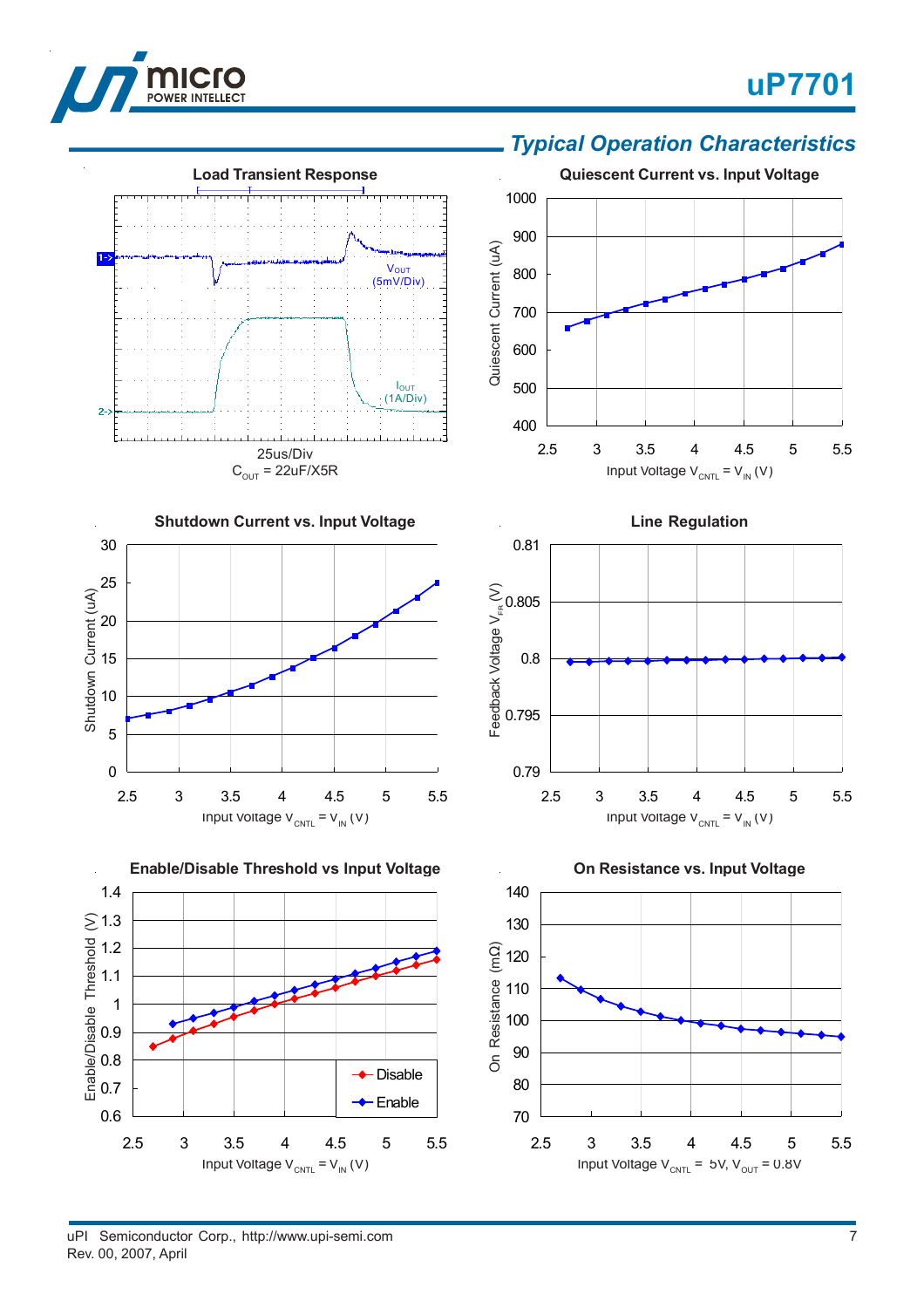

 $1 - \sum_{i=1}^{n}$ 

 $2 - 2$ 

# **uP7701**



**Line Regulation**

## *Typical Operation Characteristics*



**Load Transient Response**

25us/Div  $C_{OUT}$  = 22uF/X5R

material design

V<sub>OUT</sub><br>(5mV/Div)

IOUT (1A/Div)

Feedback Voltage  $V_{\text{\tiny{ER}}}\left(V\right)$ 

Feedback Voltage V<sub>FR</sub> (V)

0.79

0.795

0.8

0.805

0.81





Input Voltage  $V_{\text{CNTL}} = V_{\text{IN}}(V)$ 

2.5 3 3.5 4 4.5 5 5.5

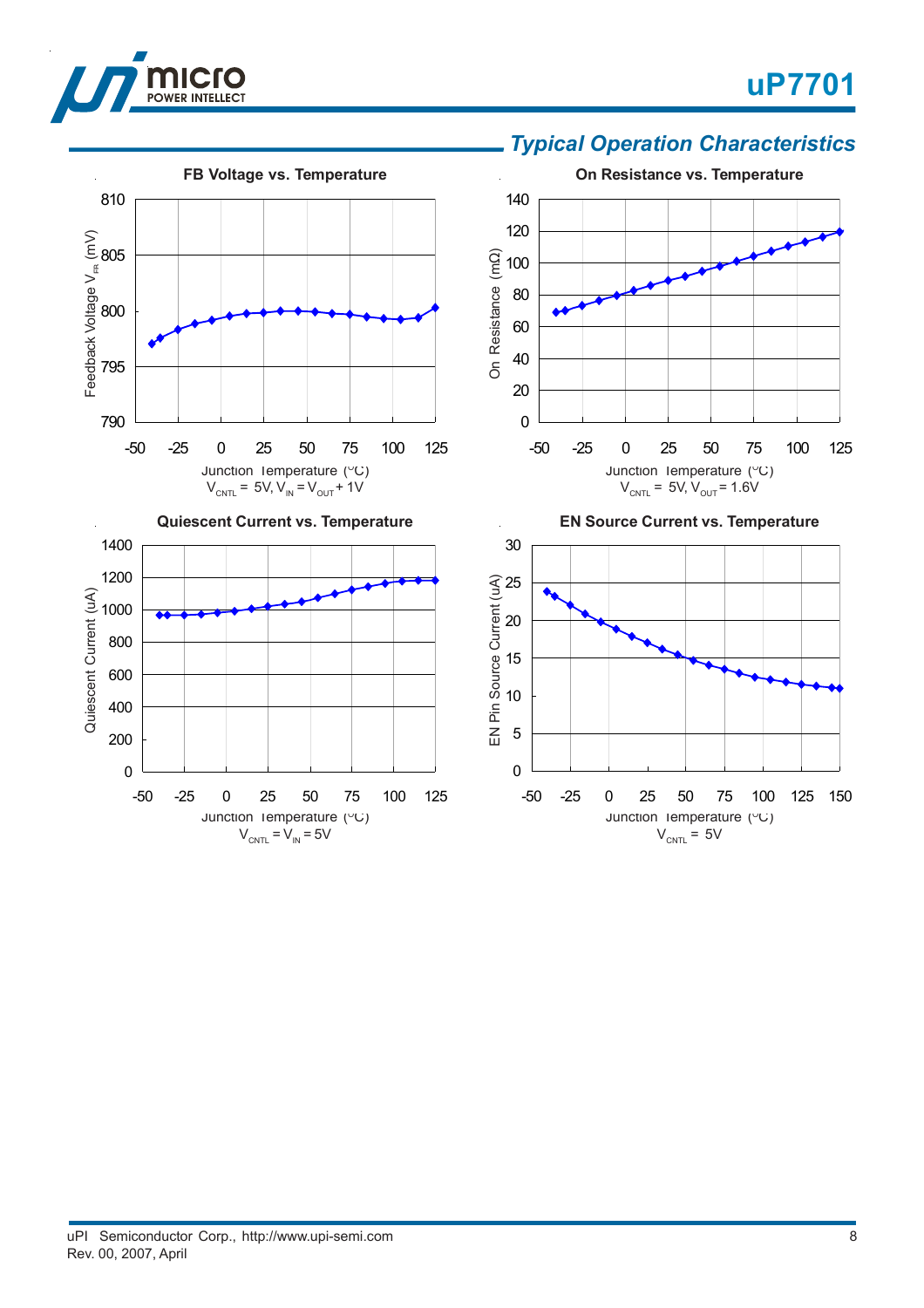

Feedback Voltage  $\mathsf{V}_{\scriptscriptstyle{\sf ER}}$  (mV)

790

Quiescent Current (uA)

795

800

805

810

# **uP7701**

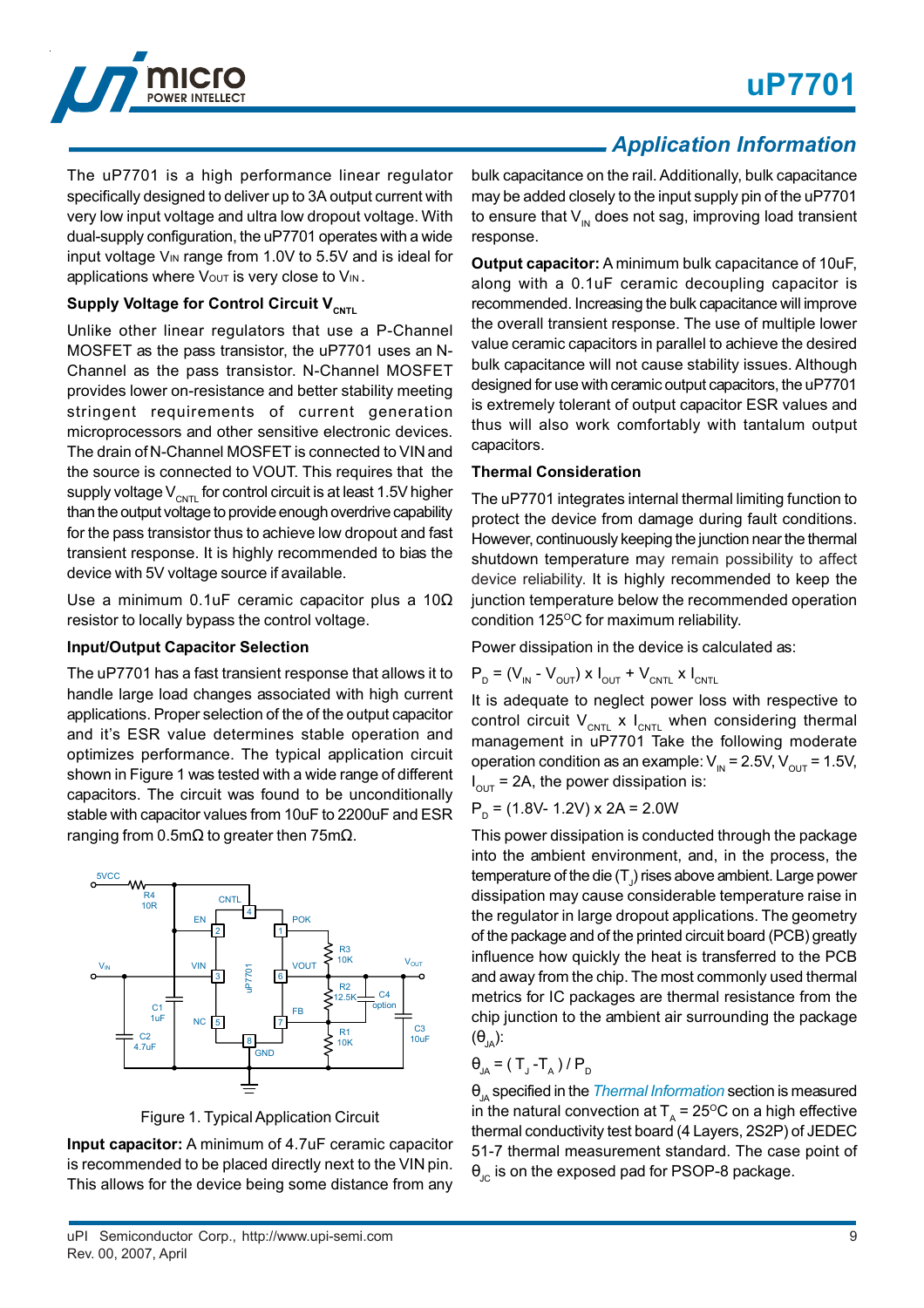

The uP7701 is a high performance linear regulator specifically designed to deliver up to 3A output current with very low input voltage and ultra low dropout voltage. With dual-supply configuration, the uP7701 operates with a wide input voltage VIN range from 1.0V to 5.5V and is ideal for applications where Vout is very close to VIN.

## **Supply Voltage for Control Circuit V<sub>CNTL</sub>**

Unlike other linear regulators that use a P-Channel MOSFET as the pass transistor, the uP7701 uses an N-Channel as the pass transistor. N-Channel MOSFET provides lower on-resistance and better stability meeting stringent requirements of current generation microprocessors and other sensitive electronic devices. The drain of N-Channel MOSFET is connected to VIN and the source is connected to VOUT. This requires that the supply voltage  $V_{\text{CNTL}}$  for control circuit is at least 1.5V higher than the output voltage to provide enough overdrive capability for the pass transistor thus to achieve low dropout and fast transient response. It is highly recommended to bias the device with 5V voltage source if available.

Use a minimum 0.1uF ceramic capacitor plus a 10Ω resistor to locally bypass the control voltage.

#### **Input/Output Capacitor Selection**

The uP7701 has a fast transient response that allows it to handle large load changes associated with high current applications. Proper selection of the of the output capacitor and it's ESR value determines stable operation and optimizes performance. The typical application circuit shown in Figure 1 was tested with a wide range of different capacitors. The circuit was found to be unconditionally stable with capacitor values from 10uF to 2200uF and ESR ranging from 0.5mΩ to greater then 75mΩ.



Figure 1. Typical Application Circuit

**Input capacitor:** A minimum of 4.7uF ceramic capacitor is recommended to be placed directly next to the VIN pin. This allows for the device being some distance from any bulk capacitance on the rail. Additionally, bulk capacitance may be added closely to the input supply pin of the uP7701 to ensure that  $V_{\text{IN}}$  does not sag, improving load transient response.

**Output capacitor:** A minimum bulk capacitance of 10uF, along with a 0.1uF ceramic decoupling capacitor is recommended. Increasing the bulk capacitance will improve the overall transient response. The use of multiple lower value ceramic capacitors in parallel to achieve the desired bulk capacitance will not cause stability issues. Although designed for use with ceramic output capacitors, the uP7701 is extremely tolerant of output capacitor ESR values and thus will also work comfortably with tantalum output capacitors.

#### **Thermal Consideration**

The uP7701 integrates internal thermal limiting function to protect the device from damage during fault conditions. However, continuously keeping the junction near the thermal shutdown temperature may remain possibility to affect device reliability. It is highly recommended to keep the junction temperature below the recommended operation condition 125°C for maximum reliability.

Power dissipation in the device is calculated as:

$$
P_{D} = (V_{IN} - V_{OUT}) \times I_{OUT} + V_{CNTL} \times I_{CNTL}
$$

It is adequate to neglect power loss with respective to control circuit  $V_{CNTL}$  x  $I_{CNTL}$  when considering thermal management in uP7701 Take the following moderate operation condition as an example:  $V_{\text{IN}}$  = 2.5V,  $V_{\text{OUT}}$  = 1.5V,  $I_{\text{OUT}}$  = 2A, the power dissipation is:

$$
PD = (1.8V - 1.2V) \times 2A = 2.0W
$$

This power dissipation is conducted through the package into the ambient environment, and, in the process, the temperature of the die (T $_{\rm J}$ ) rises above ambient. Large power dissipation may cause considerable temperature raise in the regulator in large dropout applications. The geometry of the package and of the printed circuit board (PCB) greatly influence how quickly the heat is transferred to the PCB and away from the chip. The most commonly used thermal metrics for IC packages are thermal resistance from the chip junction to the ambient air surrounding the package  $(\theta_{\text{IA}})$ :

$$
\theta_{JA} = (T_J - T_A) / P_D
$$

θ<sub>JA</sub> specified in the *Thermal Information* section is measured in the natural convection at  $T<sub>A</sub> = 25^{\circ}C$  on a high effective thermal conductivity test board (4 Layers, 2S2P) of JEDEC 51-7 thermal measurement standard. The case point of  $\theta_{\text{JC}}$  is on the exposed pad for PSOP-8 package.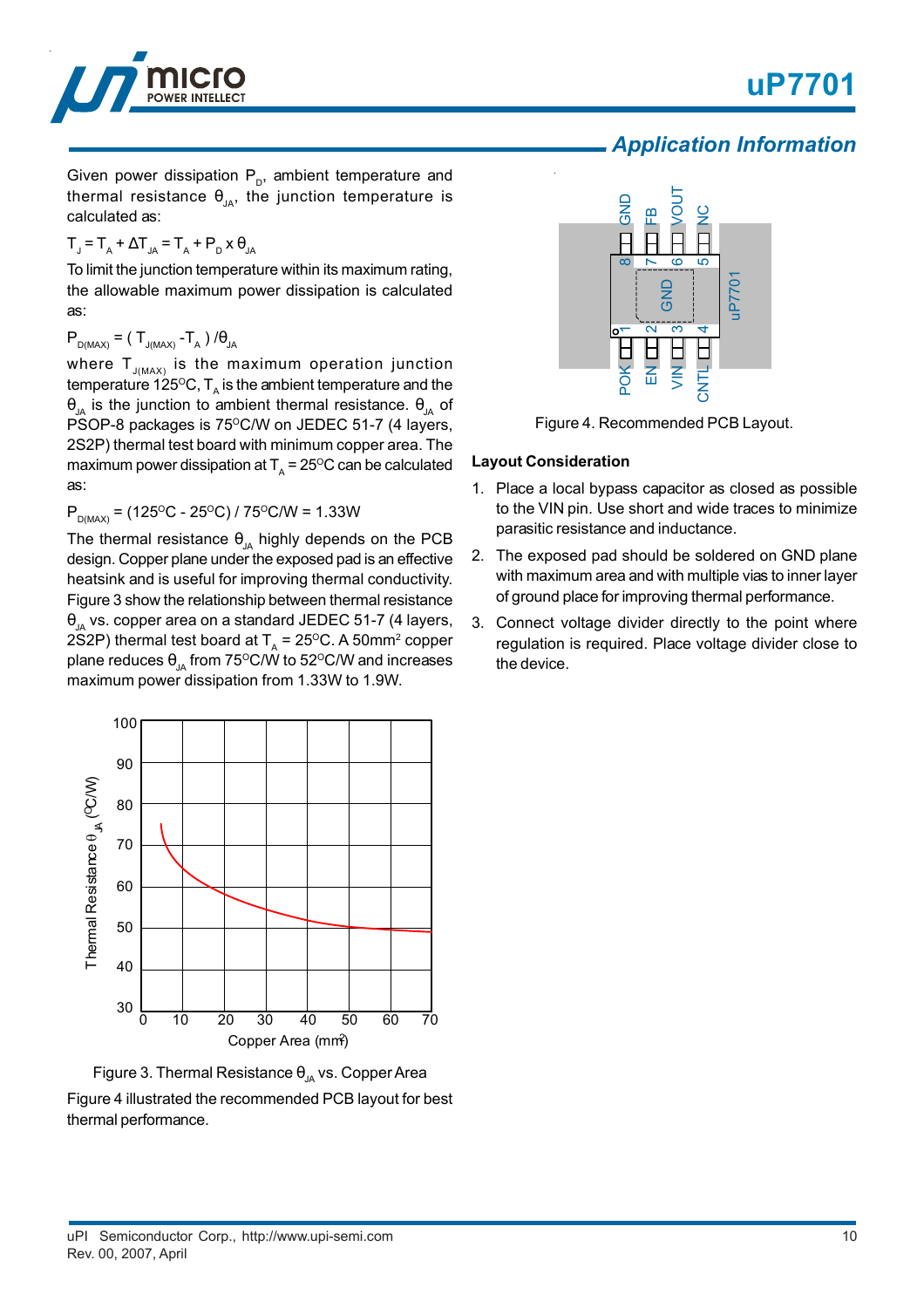

## *Application Information*

Given power dissipation  $P_{p}$ , ambient temperature and thermal resistance  $\theta_{14}$ , the junction temperature is calculated as:

$$
T_{J} = T_{A} + \Delta T_{JA} = T_{A} + P_{D} \times \theta_{JA}
$$

To limit the junction temperature within its maximum rating, the allowable maximum power dissipation is calculated as:

 $P_{D(MAX)} = (T_{J(MAX)} - T_A) / \theta_{JA}$ 

where  $T_{J(MAX)}$  is the maximum operation junction temperature 125°C,  $T<sub>A</sub>$  is the ambient temperature and the θ<sub>ια</sub> is the junction to ambient thermal resistance.  $θ<sub>ια</sub>$  of PSOP-8 packages is 75°C/W on JEDEC 51-7 (4 layers, 2S2P) thermal test board with minimum copper area. The maximum power dissipation at  $T_A = 25^{\circ}$ C can be calculated as:

 $P_{D(MAX)} = (125\text{°C} - 25\text{°C}) / 75\text{°C/W} = 1.33\text{W}$ 

The thermal resistance  $\theta_{JA}$  highly depends on the PCB design. Copper plane under the exposed pad is an effective heatsink and is useful for improving thermal conductivity. Figure 3 show the relationship between thermal resistance  $\theta_{14}$  vs. copper area on a standard JEDEC 51-7 (4 layers, 2S2P) thermal test board at  $T_A = 25^{\circ}$ C. A 50mm<sup>2</sup> copper plane reduces  $\theta_{1A}$  from 75°C/W to 52°C/W and increases maximum power dissipation from 1.33W to 1.9W.







Figure 4. Recommended PCB Layout.

## **Layout Consideration**

- 1. Place a local bypass capacitor as closed as possible to the VIN pin. Use short and wide traces to minimize parasitic resistance and inductance.
- 2. The exposed pad should be soldered on GND plane with maximum area and with multiple vias to inner layer of ground place for improving thermal performance.
- 3. Connect voltage divider directly to the point where regulation is required. Place voltage divider close to the device.